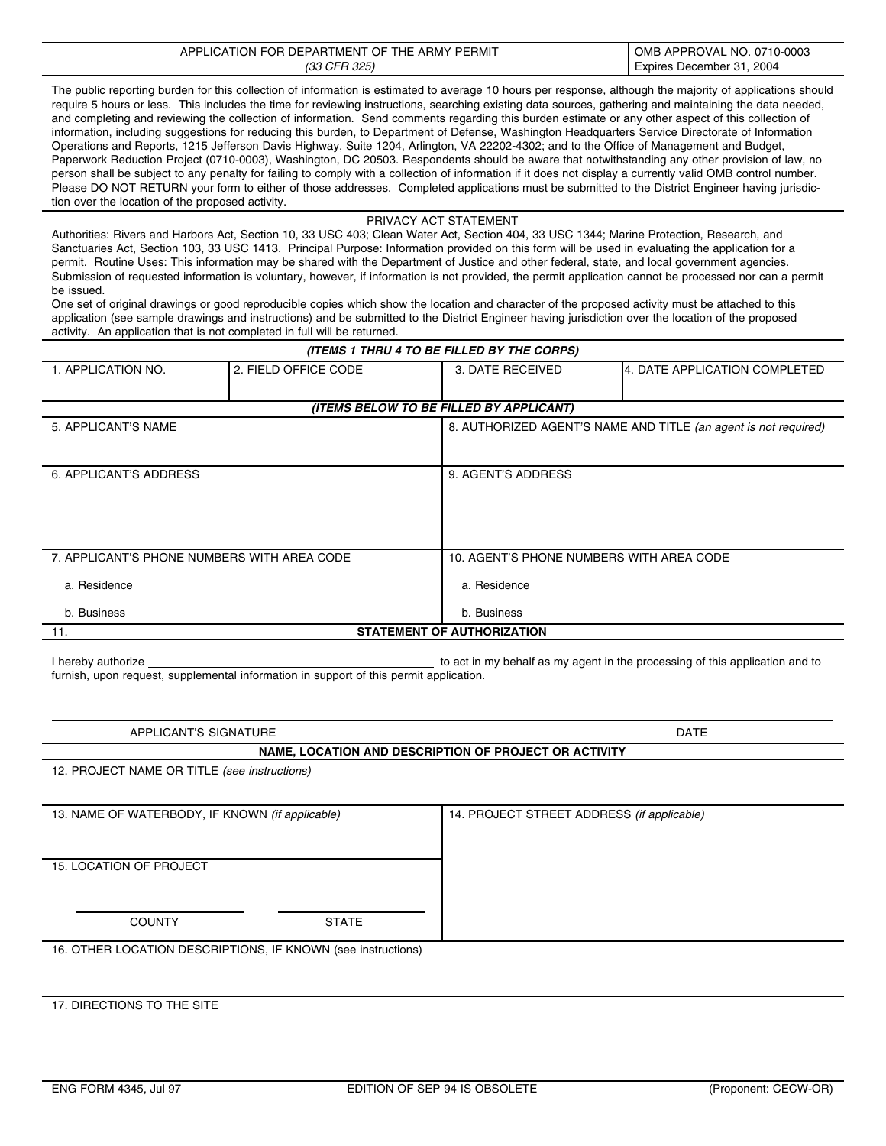#### APPLICATION FOR DEPARTMENT OF THE ARMY PERMIT (33 CFR 325) OMB APPROVAL NO. 0710-0003 Expires December 31, 2004

The public reporting burden for this collection of information is estimated to average 10 hours per response, although the majority of applications should require 5 hours or less. This includes the time for reviewing instructions, searching existing data sources, gathering and maintaining the data needed, and completing and reviewing the collection of information. Send comments regarding this burden estimate or any other aspect of this collection of information, including suggestions for reducing this burden, to Department of Defense, Washington Headquarters Service Directorate of Information Operations and Reports, 1215 Jefferson Davis Highway, Suite 1204, Arlington, VA 22202-4302; and to the Office of Management and Budget, Paperwork Reduction Project (0710-0003), Washington, DC 20503. Respondents should be aware that notwithstanding any other provision of law, no person shall be subject to any penalty for failing to comply with a collection of information if it does not display a currently valid OMB control number. Please DO NOT RETURN your form to either of those addresses. Completed applications must be submitted to the District Engineer having jurisdiction over the location of the proposed activity.

### PRIVACY ACT STATEMENT

Authorities: Rivers and Harbors Act, Section 10, 33 USC 403; Clean Water Act, Section 404, 33 USC 1344; Marine Protection, Research, and Sanctuaries Act, Section 103, 33 USC 1413. Principal Purpose: Information provided on this form will be used in evaluating the application for a permit. Routine Uses: This information may be shared with the Department of Justice and other federal, state, and local government agencies. Submission of requested information is voluntary, however, if information is not provided, the permit application cannot be processed nor can a permit be issued.

**(ITEMS 1 THRU 4 TO BE FILLED BY THE CORPS)**

One set of original drawings or good reproducible copies which show the location and character of the proposed activity must be attached to this application (see sample drawings and instructions) and be submitted to the District Engineer having jurisdiction over the location of the proposed activity. An application that is not completed in full will be returned.

| 4. DATE APPLICATION COMPLETED                                   |  |  |  |  |  |  |  |
|-----------------------------------------------------------------|--|--|--|--|--|--|--|
|                                                                 |  |  |  |  |  |  |  |
|                                                                 |  |  |  |  |  |  |  |
|                                                                 |  |  |  |  |  |  |  |
| (ITEMS BELOW TO BE FILLED BY APPLICANT)                         |  |  |  |  |  |  |  |
| 8. AUTHORIZED AGENT'S NAME AND TITLE (an agent is not required) |  |  |  |  |  |  |  |
|                                                                 |  |  |  |  |  |  |  |
|                                                                 |  |  |  |  |  |  |  |
| 9. AGENT'S ADDRESS                                              |  |  |  |  |  |  |  |
|                                                                 |  |  |  |  |  |  |  |
|                                                                 |  |  |  |  |  |  |  |
|                                                                 |  |  |  |  |  |  |  |
|                                                                 |  |  |  |  |  |  |  |
|                                                                 |  |  |  |  |  |  |  |
| 10. AGENT'S PHONE NUMBERS WITH AREA CODE                        |  |  |  |  |  |  |  |
|                                                                 |  |  |  |  |  |  |  |
| a. Residence                                                    |  |  |  |  |  |  |  |
|                                                                 |  |  |  |  |  |  |  |
| b. Business                                                     |  |  |  |  |  |  |  |
| <b>STATEMENT OF AUTHORIZATION</b><br>11.                        |  |  |  |  |  |  |  |
|                                                                 |  |  |  |  |  |  |  |

I hereby authorize **the act is application** and to act in my behalf as my agent in the processing of this application and to furnish, upon request, supplemental information in support of this permit application.

| APPLICANT'S SIGNATURE                                        | <b>DATE</b>                                |  |  |  |  |  |  |
|--------------------------------------------------------------|--------------------------------------------|--|--|--|--|--|--|
| NAME, LOCATION AND DESCRIPTION OF PROJECT OR ACTIVITY        |                                            |  |  |  |  |  |  |
| 12. PROJECT NAME OR TITLE (see instructions)                 |                                            |  |  |  |  |  |  |
|                                                              |                                            |  |  |  |  |  |  |
| 13. NAME OF WATERBODY, IF KNOWN (if applicable)              | 14. PROJECT STREET ADDRESS (if applicable) |  |  |  |  |  |  |
|                                                              |                                            |  |  |  |  |  |  |
| <b>15. LOCATION OF PROJECT</b>                               |                                            |  |  |  |  |  |  |
|                                                              |                                            |  |  |  |  |  |  |
|                                                              |                                            |  |  |  |  |  |  |
| <b>COUNTY</b><br><b>STATE</b>                                |                                            |  |  |  |  |  |  |
| 16. OTHER LOCATION DESCRIPTIONS, IF KNOWN (see instructions) |                                            |  |  |  |  |  |  |
|                                                              |                                            |  |  |  |  |  |  |
|                                                              |                                            |  |  |  |  |  |  |

17. DIRECTIONS TO THE SITE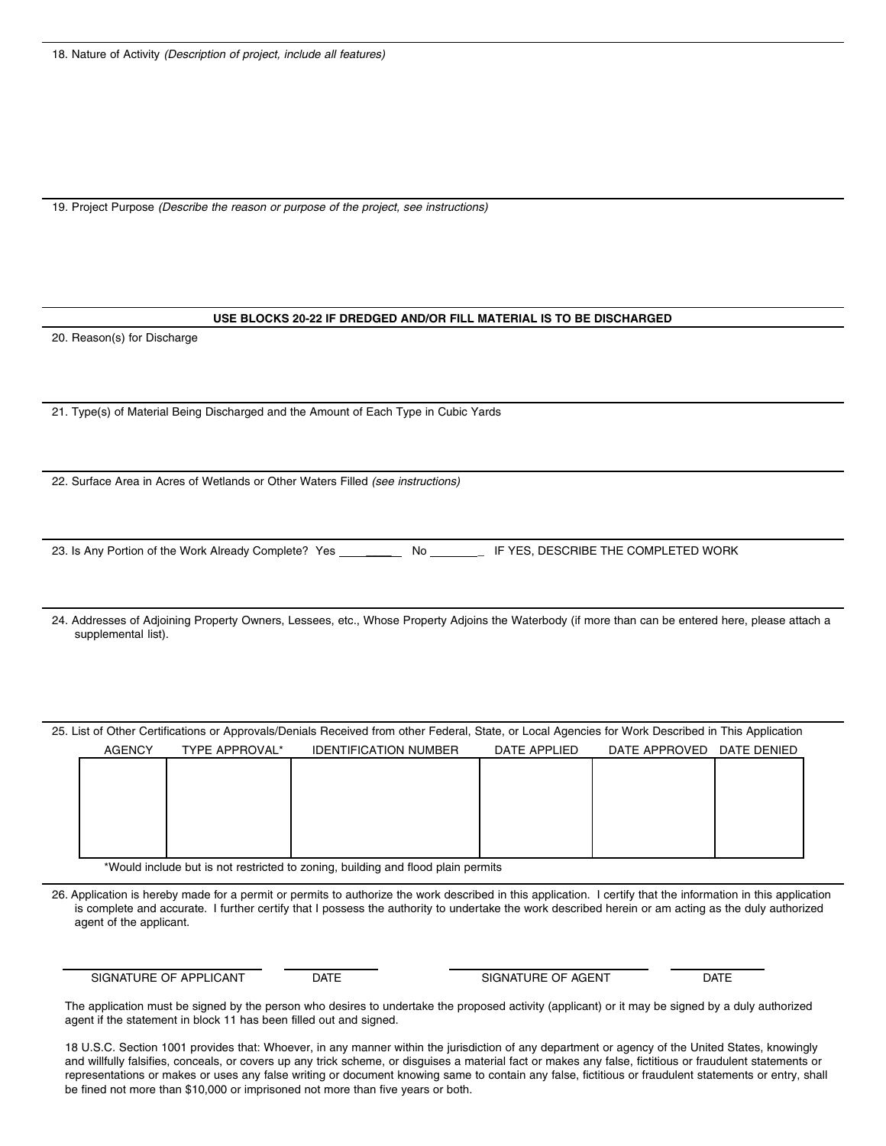19. Project Purpose (Describe the reason or purpose of the project, see instructions)

#### **USE BLOCKS 20-22 IF DREDGED AND/OR FILL MATERIAL IS TO BE DISCHARGED**

20. Reason(s) for Discharge

21. Type(s) of Material Being Discharged and the Amount of Each Type in Cubic Yards

22. Surface Area in Acres of Wetlands or Other Waters Filled (see instructions)

23. Is Any Portion of the Work Already Complete? Yes \_\_\_\_\_\_\_ No \_\_\_\_\_\_\_ IF YES, DESCRIBE THE COMPLETED WORK

24. Addresses of Adjoining Property Owners, Lessees, etc., Whose Property Adjoins the Waterbody (if more than can be entered here, please attach a supplemental list).

| 25. List of Other Certifications or Approvals/Denials Received from other Federal, State, or Local Agencies for Work Described in This Application |               |                |                              |              |               |             |  |  |
|----------------------------------------------------------------------------------------------------------------------------------------------------|---------------|----------------|------------------------------|--------------|---------------|-------------|--|--|
|                                                                                                                                                    | <b>AGENCY</b> | TYPE APPROVAL* | <b>IDENTIFICATION NUMBER</b> | DATE APPLIED | DATE APPROVED | DATE DENIED |  |  |
|                                                                                                                                                    |               |                |                              |              |               |             |  |  |
|                                                                                                                                                    |               |                |                              |              |               |             |  |  |
|                                                                                                                                                    |               |                |                              |              |               |             |  |  |
|                                                                                                                                                    |               |                |                              |              |               |             |  |  |
|                                                                                                                                                    |               |                |                              |              |               |             |  |  |
|                                                                                                                                                    |               |                |                              |              |               |             |  |  |

\*Would include but is not restricted to zoning, building and flood plain permits

26. Application is hereby made for a permit or permits to authorize the work described in this application. I certify that the information in this application is complete and accurate. I further certify that I possess the authority to undertake the work described herein or am acting as the duly authorized agent of the applicant.

SIGNATURE OF APPLICANT LETTER THE SIGNATURE OF AGENT THE SIGNATURE OF AGENT

The application must be signed by the person who desires to undertake the proposed activity (applicant) or it may be signed by a duly authorized agent if the statement in block 11 has been filled out and signed.

18 U.S.C. Section 1001 provides that: Whoever, in any manner within the jurisdiction of any department or agency of the United States, knowingly and willfully falsifies, conceals, or covers up any trick scheme, or disguises a material fact or makes any false, fictitious or fraudulent statements or representations or makes or uses any false writing or document knowing same to contain any false, fictitious or fraudulent statements or entry, shall be fined not more than \$10,000 or imprisoned not more than five years or both.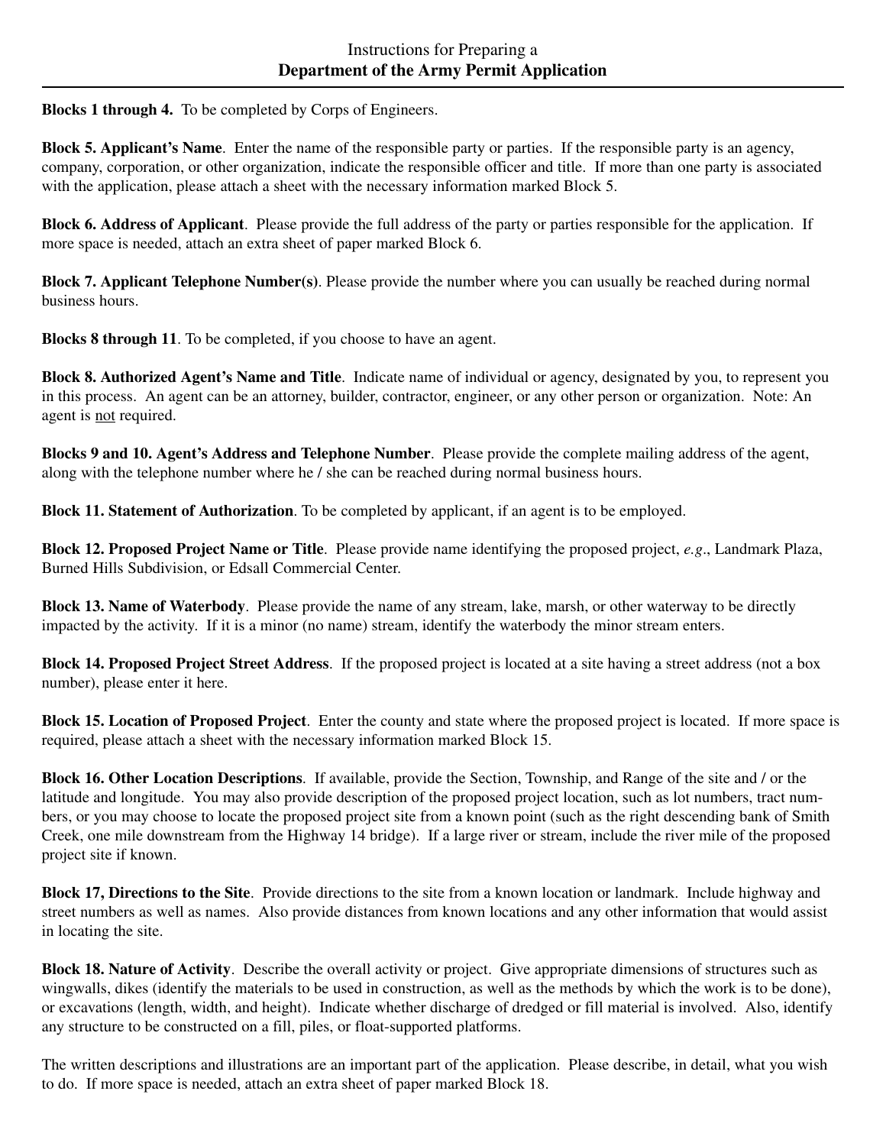**Blocks 1 through 4.** To be completed by Corps of Engineers.

**Block 5. Applicant's Name**. Enter the name of the responsible party or parties. If the responsible party is an agency, company, corporation, or other organization, indicate the responsible officer and title. If more than one party is associated with the application, please attach a sheet with the necessary information marked Block 5.

**Block 6. Address of Applicant**. Please provide the full address of the party or parties responsible for the application. If more space is needed, attach an extra sheet of paper marked Block 6.

**Block 7. Applicant Telephone Number(s)**. Please provide the number where you can usually be reached during normal business hours.

**Blocks 8 through 11**. To be completed, if you choose to have an agent.

**Block 8. Authorized Agent's Name and Title**. Indicate name of individual or agency, designated by you, to represent you in this process. An agent can be an attorney, builder, contractor, engineer, or any other person or organization. Note: An agent is not required.

**Blocks 9 and 10. Agent's Address and Telephone Number**. Please provide the complete mailing address of the agent, along with the telephone number where he / she can be reached during normal business hours.

**Block 11. Statement of Authorization**. To be completed by applicant, if an agent is to be employed.

**Block 12. Proposed Project Name or Title**. Please provide name identifying the proposed project, *e.g*., Landmark Plaza, Burned Hills Subdivision, or Edsall Commercial Center.

**Block 13. Name of Waterbody**. Please provide the name of any stream, lake, marsh, or other waterway to be directly impacted by the activity. If it is a minor (no name) stream, identify the waterbody the minor stream enters.

**Block 14. Proposed Project Street Address**. If the proposed project is located at a site having a street address (not a box number), please enter it here.

**Block 15. Location of Proposed Project**. Enter the county and state where the proposed project is located. If more space is required, please attach a sheet with the necessary information marked Block 15.

**Block 16. Other Location Descriptions**. If available, provide the Section, Township, and Range of the site and / or the latitude and longitude. You may also provide description of the proposed project location, such as lot numbers, tract numbers, or you may choose to locate the proposed project site from a known point (such as the right descending bank of Smith Creek, one mile downstream from the Highway 14 bridge). If a large river or stream, include the river mile of the proposed project site if known.

**Block 17, Directions to the Site**. Provide directions to the site from a known location or landmark. Include highway and street numbers as well as names. Also provide distances from known locations and any other information that would assist in locating the site.

**Block 18. Nature of Activity**. Describe the overall activity or project. Give appropriate dimensions of structures such as wingwalls, dikes (identify the materials to be used in construction, as well as the methods by which the work is to be done), or excavations (length, width, and height). Indicate whether discharge of dredged or fill material is involved. Also, identify any structure to be constructed on a fill, piles, or float-supported platforms.

The written descriptions and illustrations are an important part of the application. Please describe, in detail, what you wish to do. If more space is needed, attach an extra sheet of paper marked Block 18.